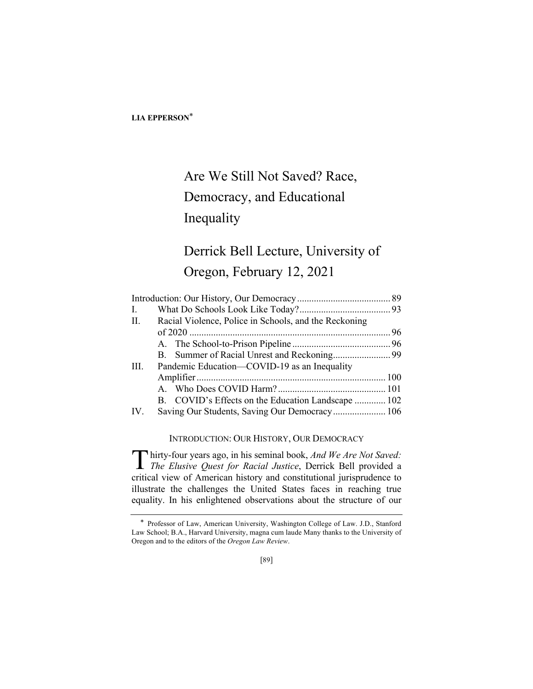# Are We Still Not Saved? Race, Democracy, and Educational Inequality

## Derrick Bell Lecture, University of Oregon, February 12, 2021

| Ι.   |                                                       |  |
|------|-------------------------------------------------------|--|
| II.  | Racial Violence, Police in Schools, and the Reckoning |  |
|      |                                                       |  |
|      |                                                       |  |
|      |                                                       |  |
| III. | Pandemic Education—COVID-19 as an Inequality          |  |
|      |                                                       |  |
|      |                                                       |  |
|      | B. COVID's Effects on the Education Landscape  102    |  |
| IV.  | Saving Our Students, Saving Our Democracy 106         |  |
|      |                                                       |  |

INTRODUCTION: OUR HISTORY, OUR DEMOCRACY

hirty-four years ago, in his seminal book, *And We Are Not Saved:*  Thirty-four years ago, in his seminal book, *And We Are Not Saved:*<br>The Elusive Quest for Racial Justice, Derrick Bell provided a critical view of American history and constitutional jurisprudence to illustrate the challenges the United States faces in reaching true equality. In his enlightened observations about the structure of our

<sup>\*</sup> Professor of Law, American University, Washington College of Law. J.D., Stanford Law School; B.A., Harvard University, magna cum laude Many thanks to the University of Oregon and to the editors of the *Oregon Law Review*.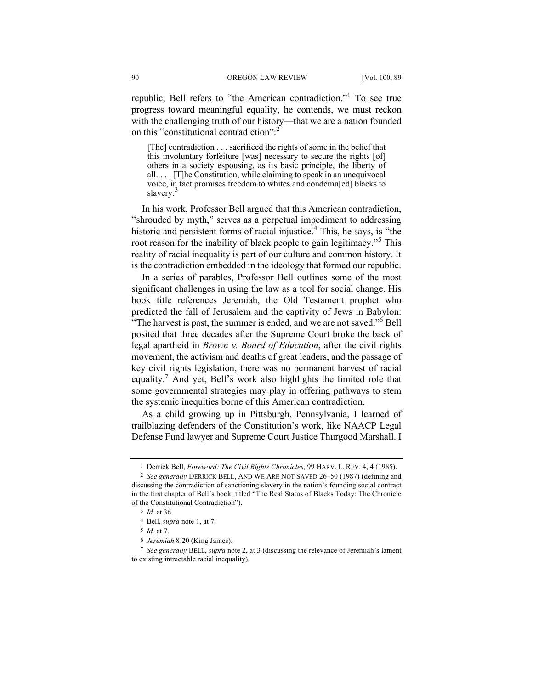republic, Bell refers to "the American contradiction."<sup>1</sup> To see true progress toward meaningful equality, he contends, we must reckon with the challenging truth of our history—that we are a nation founded on this "constitutional contradiction":<sup>2</sup>

[The] contradiction . . . sacrificed the rights of some in the belief that this involuntary forfeiture [was] necessary to secure the rights [of] others in a society espousing, as its basic principle, the liberty of all. . . . [T]he Constitution, while claiming to speak in an unequivocal voice, in fact promises freedom to whites and condemn[ed] blacks to slavery.<sup>3</sup>

In his work, Professor Bell argued that this American contradiction, "shrouded by myth," serves as a perpetual impediment to addressing historic and persistent forms of racial injustice.<sup>4</sup> This, he says, is "the root reason for the inability of black people to gain legitimacy."<sup>5</sup> This reality of racial inequality is part of our culture and common history. It is the contradiction embedded in the ideology that formed our republic.

In a series of parables, Professor Bell outlines some of the most significant challenges in using the law as a tool for social change. His book title references Jeremiah, the Old Testament prophet who predicted the fall of Jerusalem and the captivity of Jews in Babylon: "The harvest is past, the summer is ended, and we are not saved."<sup>6</sup> Bell posited that three decades after the Supreme Court broke the back of legal apartheid in *Brown v. Board of Education*, after the civil rights movement, the activism and deaths of great leaders, and the passage of key civil rights legislation, there was no permanent harvest of racial equality.<sup>7</sup> And yet, Bell's work also highlights the limited role that some governmental strategies may play in offering pathways to stem the systemic inequities borne of this American contradiction.

As a child growing up in Pittsburgh, Pennsylvania, I learned of trailblazing defenders of the Constitution's work, like NAACP Legal Defense Fund lawyer and Supreme Court Justice Thurgood Marshall. I

<sup>1</sup> Derrick Bell, *Foreword: The Civil Rights Chronicles*, 99 HARV. L. REV. 4, 4 (1985).

<sup>2</sup> *See generally* DERRICK BELL, AND WE ARE NOT SAVED 26–50 (1987) (defining and discussing the contradiction of sanctioning slavery in the nation's founding social contract in the first chapter of Bell's book, titled "The Real Status of Blacks Today: The Chronicle of the Constitutional Contradiction").

<sup>3</sup> *Id.* at 36.

<sup>4</sup> Bell, *supra* note 1, at 7.

<sup>5</sup> *Id.* at 7.

<sup>6</sup> *Jeremiah* 8:20 (King James).

<sup>7</sup> *See generally* BELL, *supra* note 2, at 3 (discussing the relevance of Jeremiah's lament to existing intractable racial inequality).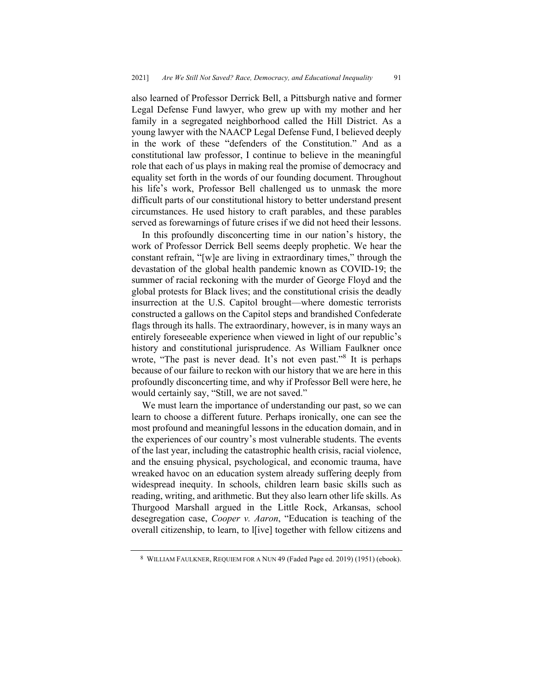also learned of Professor Derrick Bell, a Pittsburgh native and former Legal Defense Fund lawyer, who grew up with my mother and her family in a segregated neighborhood called the Hill District. As a young lawyer with the NAACP Legal Defense Fund, I believed deeply in the work of these "defenders of the Constitution." And as a constitutional law professor, I continue to believe in the meaningful role that each of us plays in making real the promise of democracy and equality set forth in the words of our founding document. Throughout his life's work, Professor Bell challenged us to unmask the more difficult parts of our constitutional history to better understand present circumstances. He used history to craft parables, and these parables served as forewarnings of future crises if we did not heed their lessons.

In this profoundly disconcerting time in our nation's history, the work of Professor Derrick Bell seems deeply prophetic. We hear the constant refrain, "[w]e are living in extraordinary times," through the devastation of the global health pandemic known as COVID-19; the summer of racial reckoning with the murder of George Floyd and the global protests for Black lives; and the constitutional crisis the deadly insurrection at the U.S. Capitol brought—where domestic terrorists constructed a gallows on the Capitol steps and brandished Confederate flags through its halls. The extraordinary, however, is in many ways an entirely foreseeable experience when viewed in light of our republic's history and constitutional jurisprudence. As William Faulkner once wrote, "The past is never dead. It's not even past."<sup>8</sup> It is perhaps because of our failure to reckon with our history that we are here in this profoundly disconcerting time, and why if Professor Bell were here, he would certainly say, "Still, we are not saved."

We must learn the importance of understanding our past, so we can learn to choose a different future. Perhaps ironically, one can see the most profound and meaningful lessons in the education domain, and in the experiences of our country's most vulnerable students. The events of the last year, including the catastrophic health crisis, racial violence, and the ensuing physical, psychological, and economic trauma, have wreaked havoc on an education system already suffering deeply from widespread inequity. In schools, children learn basic skills such as reading, writing, and arithmetic. But they also learn other life skills. As Thurgood Marshall argued in the Little Rock, Arkansas, school desegregation case, *Cooper v. Aaron*, "Education is teaching of the overall citizenship, to learn, to l[ive] together with fellow citizens and

<sup>8</sup> WILLIAM FAULKNER, REQUIEM FOR A NUN 49 (Faded Page ed. 2019) (1951) (ebook).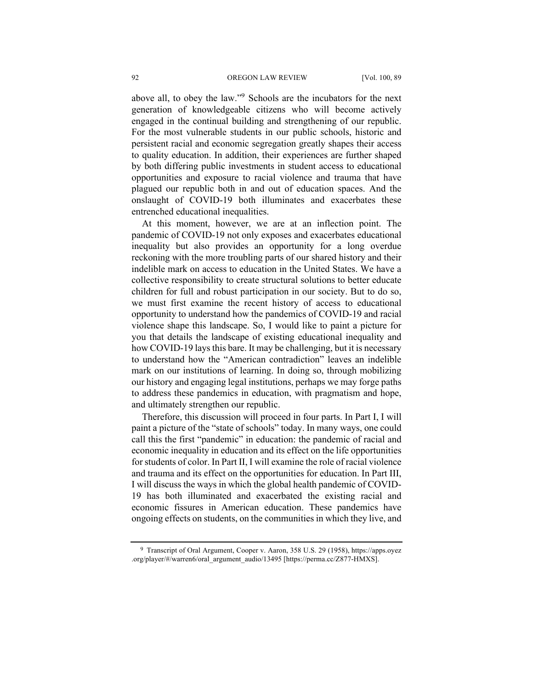above all, to obey the law."<sup>9</sup> Schools are the incubators for the next generation of knowledgeable citizens who will become actively engaged in the continual building and strengthening of our republic. For the most vulnerable students in our public schools, historic and persistent racial and economic segregation greatly shapes their access to quality education. In addition, their experiences are further shaped by both differing public investments in student access to educational opportunities and exposure to racial violence and trauma that have plagued our republic both in and out of education spaces. And the onslaught of COVID-19 both illuminates and exacerbates these entrenched educational inequalities.

At this moment, however, we are at an inflection point. The pandemic of COVID-19 not only exposes and exacerbates educational inequality but also provides an opportunity for a long overdue reckoning with the more troubling parts of our shared history and their indelible mark on access to education in the United States. We have a collective responsibility to create structural solutions to better educate children for full and robust participation in our society. But to do so, we must first examine the recent history of access to educational opportunity to understand how the pandemics of COVID-19 and racial violence shape this landscape. So, I would like to paint a picture for you that details the landscape of existing educational inequality and how COVID-19 lays this bare. It may be challenging, but it is necessary to understand how the "American contradiction" leaves an indelible mark on our institutions of learning. In doing so, through mobilizing our history and engaging legal institutions, perhaps we may forge paths to address these pandemics in education, with pragmatism and hope, and ultimately strengthen our republic.

Therefore, this discussion will proceed in four parts. In Part I, I will paint a picture of the "state of schools" today. In many ways, one could call this the first "pandemic" in education: the pandemic of racial and economic inequality in education and its effect on the life opportunities for students of color. In Part II, I will examine the role of racial violence and trauma and its effect on the opportunities for education. In Part III, I will discuss the ways in which the global health pandemic of COVID-19 has both illuminated and exacerbated the existing racial and economic fissures in American education. These pandemics have ongoing effects on students, on the communities in which they live, and

9 Transcript of Oral Argument, Cooper v. Aaron, 358 U.S. 29 (1958), https://apps.oyez .org/player/#/warren6/oral\_argument\_audio/13495 [https://perma.cc/Z877-HMXS].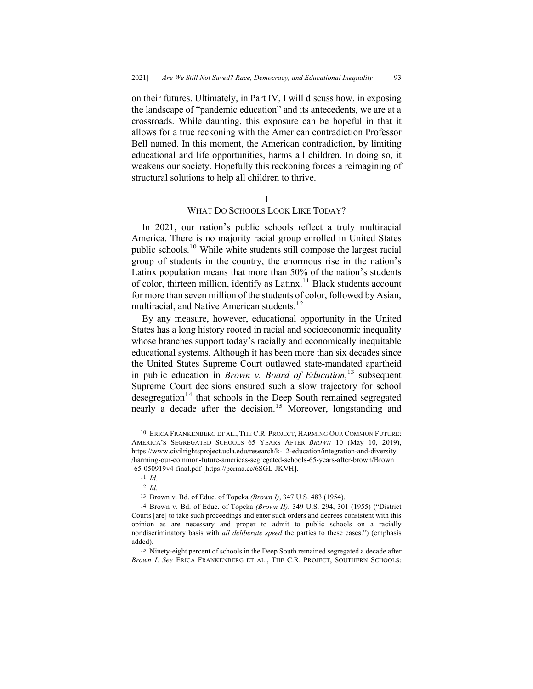on their futures. Ultimately, in Part IV, I will discuss how, in exposing the landscape of "pandemic education" and its antecedents, we are at a crossroads. While daunting, this exposure can be hopeful in that it allows for a true reckoning with the American contradiction Professor Bell named. In this moment, the American contradiction, by limiting educational and life opportunities, harms all children. In doing so, it weakens our society. Hopefully this reckoning forces a reimagining of structural solutions to help all children to thrive.

I

## WHAT DO SCHOOLS LOOK LIKE TODAY?

In 2021, our nation's public schools reflect a truly multiracial America. There is no majority racial group enrolled in United States public schools.10 While white students still compose the largest racial group of students in the country, the enormous rise in the nation's Latinx population means that more than 50% of the nation's students of color, thirteen million, identify as  $Latinx$ .<sup>11</sup> Black students account for more than seven million of the students of color, followed by Asian, multiracial, and Native American students.<sup>12</sup>

By any measure, however, educational opportunity in the United States has a long history rooted in racial and socioeconomic inequality whose branches support today's racially and economically inequitable educational systems. Although it has been more than six decades since the United States Supreme Court outlawed state-mandated apartheid in public education in *Brown v. Board of Education*, <sup>13</sup> subsequent Supreme Court decisions ensured such a slow trajectory for school desegregation<sup>14</sup> that schools in the Deep South remained segregated nearly a decade after the decision.<sup>15</sup> Moreover, longstanding and

<sup>10</sup> ERICA FRANKENBERG ET AL., THE C.R. PROJECT, HARMING OUR COMMON FUTURE: AMERICA'S SEGREGATED SCHOOLS 65 YEARS AFTER *BROWN* 10 (May 10, 2019), https://www.civilrightsproject.ucla.edu/research/k-12-education/integration-and-diversity /harming-our-common-future-americas-segregated-schools-65-years-after-brown/Brown -65-050919v4-final.pdf [https://perma.cc/6SGL-JKVH].

<sup>11</sup> *Id.*

<sup>12</sup> *Id.*

<sup>13</sup> Brown v. Bd. of Educ. of Topeka *(Brown I)*, 347 U.S. 483 (1954).

<sup>14</sup> Brown v. Bd. of Educ. of Topeka *(Brown II)*, 349 U.S. 294, 301 (1955) ("District Courts [are] to take such proceedings and enter such orders and decrees consistent with this opinion as are necessary and proper to admit to public schools on a racially nondiscriminatory basis with *all deliberate speed* the parties to these cases.") (emphasis added).

<sup>15</sup> Ninety-eight percent of schools in the Deep South remained segregated a decade after *Brown I*. *See* ERICA FRANKENBERG ET AL., THE C.R. PROJECT, SOUTHERN SCHOOLS: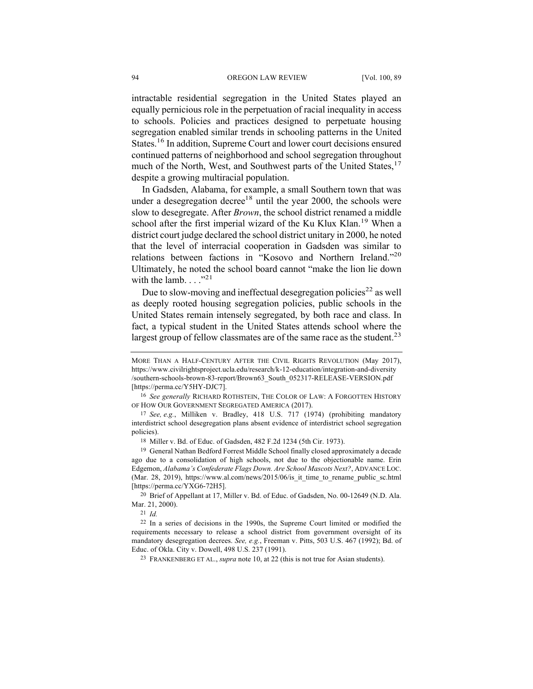intractable residential segregation in the United States played an equally pernicious role in the perpetuation of racial inequality in access to schools. Policies and practices designed to perpetuate housing segregation enabled similar trends in schooling patterns in the United States.16 In addition, Supreme Court and lower court decisions ensured continued patterns of neighborhood and school segregation throughout much of the North, West, and Southwest parts of the United States,<sup>17</sup> despite a growing multiracial population.

In Gadsden, Alabama, for example, a small Southern town that was under a desegregation decree<sup>18</sup> until the year 2000, the schools were slow to desegregate. After *Brown*, the school district renamed a middle school after the first imperial wizard of the Ku Klux Klan.<sup>19</sup> When a district court judge declared the school district unitary in 2000, he noted that the level of interracial cooperation in Gadsden was similar to relations between factions in "Kosovo and Northern Ireland."<sup>20</sup> Ultimately, he noted the school board cannot "make the lion lie down with the lamb.  $\cdot \cdot \cdot$ <sup>,,21</sup>

Due to slow-moving and ineffectual desegregation policies<sup>22</sup> as well as deeply rooted housing segregation policies, public schools in the United States remain intensely segregated, by both race and class. In fact, a typical student in the United States attends school where the largest group of fellow classmates are of the same race as the student.<sup>23</sup>

20 Brief of Appellant at 17, Miller v. Bd. of Educ. of Gadsden, No. 00-12649 (N.D. Ala. Mar. 21, 2000).

MORE THAN A HALF-CENTURY AFTER THE CIVIL RIGHTS REVOLUTION (May 2017), https://www.civilrightsproject.ucla.edu/research/k-12-education/integration-and-diversity /southern-schools-brown-83-report/Brown63\_South\_052317-RELEASE-VERSION.pdf [https://perma.cc/Y5HY-DJC7].

<sup>16</sup> *See generally* RICHARD ROTHSTEIN, THE COLOR OF LAW: A FORGOTTEN HISTORY OF HOW OUR GOVERNMENT SEGREGATED AMERICA (2017).

<sup>17</sup> *See, e.g.*, Milliken v. Bradley, 418 U.S. 717 (1974) (prohibiting mandatory interdistrict school desegregation plans absent evidence of interdistrict school segregation policies).

<sup>18</sup> Miller v. Bd. of Educ. of Gadsden, 482 F.2d 1234 (5th Cir. 1973).

<sup>19</sup> General Nathan Bedford Forrest Middle School finally closed approximately a decade ago due to a consolidation of high schools, not due to the objectionable name. Erin Edgemon, *Alabama's Confederate Flags Down. Are School Mascots Next?*, ADVANCE LOC. (Mar. 28, 2019), https://www.al.com/news/2015/06/is it time to rename public sc.html [https://perma.cc/YXG6-72H5].

<sup>21</sup> *Id.*

<sup>22</sup> In a series of decisions in the 1990s, the Supreme Court limited or modified the requirements necessary to release a school district from government oversight of its mandatory desegregation decrees. *See, e.g.*, Freeman v. Pitts, 503 U.S. 467 (1992); Bd. of Educ. of Okla. City v. Dowell, 498 U.S. 237 (1991).

<sup>23</sup> FRANKENBERG ET AL., *supra* note 10, at 22 (this is not true for Asian students).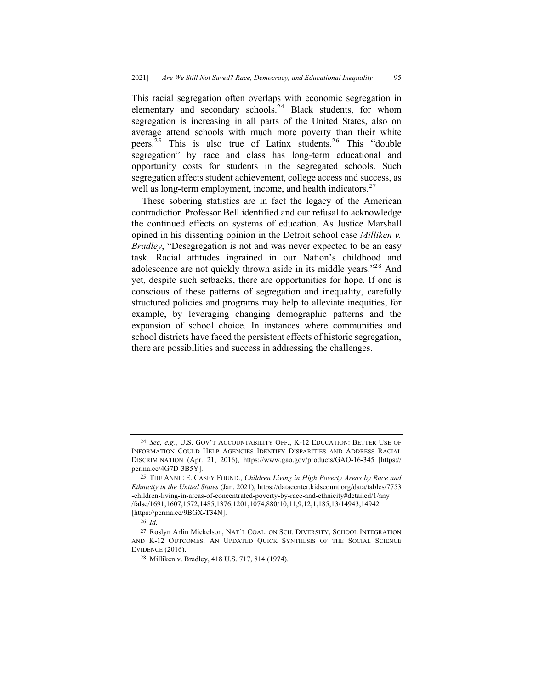This racial segregation often overlaps with economic segregation in elementary and secondary schools.<sup>24</sup> Black students, for whom segregation is increasing in all parts of the United States, also on average attend schools with much more poverty than their white peers.25 This is also true of Latinx students.26 This "double segregation" by race and class has long-term educational and opportunity costs for students in the segregated schools. Such segregation affects student achievement, college access and success, as well as long-term employment, income, and health indicators.<sup>27</sup>

These sobering statistics are in fact the legacy of the American contradiction Professor Bell identified and our refusal to acknowledge the continued effects on systems of education. As Justice Marshall opined in his dissenting opinion in the Detroit school case *Milliken v. Bradley*, "Desegregation is not and was never expected to be an easy task. Racial attitudes ingrained in our Nation's childhood and adolescence are not quickly thrown aside in its middle years."28 And yet, despite such setbacks, there are opportunities for hope. If one is conscious of these patterns of segregation and inequality, carefully structured policies and programs may help to alleviate inequities, for example, by leveraging changing demographic patterns and the expansion of school choice. In instances where communities and school districts have faced the persistent effects of historic segregation, there are possibilities and success in addressing the challenges.

<sup>24</sup> *See, e.g.*, U.S. GOV'T ACCOUNTABILITY OFF., K-12 EDUCATION: BETTER USE OF INFORMATION COULD HELP AGENCIES IDENTIFY DISPARITIES AND ADDRESS RACIAL DISCRIMINATION (Apr. 21, 2016), https://www.gao.gov/products/GAO-16-345 [https:// perma.cc/4G7D-3B5Y].

<sup>25</sup> THE ANNIE E. CASEY FOUND., *Children Living in High Poverty Areas by Race and Ethnicity in the United States* (Jan. 2021), https://datacenter.kidscount.org/data/tables/7753 -children-living-in-areas-of-concentrated-poverty-by-race-and-ethnicity#detailed/1/any /false/1691,1607,1572,1485,1376,1201,1074,880/10,11,9,12,1,185,13/14943,14942 [https://perma.cc/9BGX-T34N].

<sup>26</sup> *Id.*

<sup>27</sup> Roslyn Arlin Mickelson, NAT'L COAL. ON SCH. DIVERSITY, SCHOOL INTEGRATION AND K-12 OUTCOMES: AN UPDATED QUICK SYNTHESIS OF THE SOCIAL SCIENCE EVIDENCE (2016).

<sup>28</sup> Milliken v. Bradley, 418 U.S. 717, 814 (1974).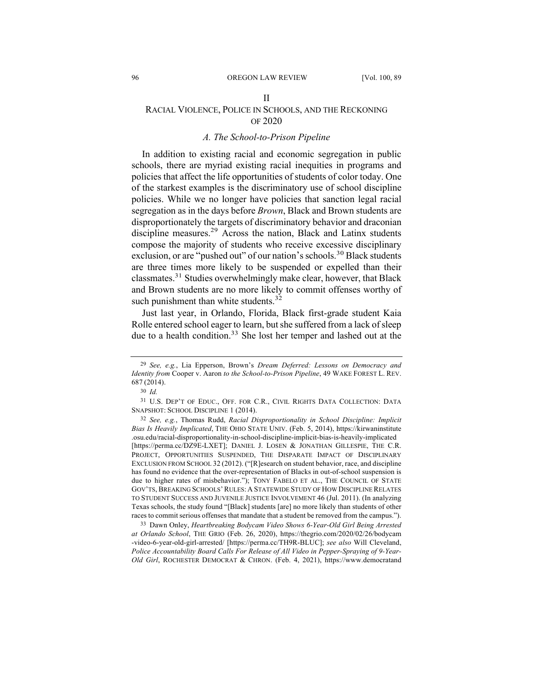#### II

## RACIAL VIOLENCE, POLICE IN SCHOOLS, AND THE RECKONING OF 2020

#### *A. The School-to-Prison Pipeline*

In addition to existing racial and economic segregation in public schools, there are myriad existing racial inequities in programs and policies that affect the life opportunities of students of color today. One of the starkest examples is the discriminatory use of school discipline policies. While we no longer have policies that sanction legal racial segregation as in the days before *Brown*, Black and Brown students are disproportionately the targets of discriminatory behavior and draconian discipline measures.<sup>29</sup> Across the nation, Black and Latinx students compose the majority of students who receive excessive disciplinary exclusion, or are "pushed out" of our nation's schools.<sup>30</sup> Black students are three times more likely to be suspended or expelled than their classmates.31 Studies overwhelmingly make clear, however, that Black and Brown students are no more likely to commit offenses worthy of such punishment than white students.<sup>32</sup>

Just last year, in Orlando, Florida, Black first-grade student Kaia Rolle entered school eager to learn, but she suffered from a lack of sleep due to a health condition.<sup>33</sup> She lost her temper and lashed out at the

33 Dawn Onley, *Heartbreaking Bodycam Video Shows 6-Year-Old Girl Being Arrested at Orlando School*, THE GRIO (Feb. 26, 2020), https://thegrio.com/2020/02/26/bodycam -video-6-year-old-girl-arrested/ [https://perma.cc/TH9R-BLUC]; *see also* Will Cleveland, *Police Accountability Board Calls For Release of All Video in Pepper-Spraying of 9-Year-Old Girl*, ROCHESTER DEMOCRAT & CHRON. (Feb. 4, 2021), https://www.democratand

<sup>29</sup> *See, e.g.*, Lia Epperson, Brown's *Dream Deferred: Lessons on Democracy and Identity from* Cooper v. Aaron *to the School-to-Prison Pipeline*, 49 WAKE FOREST L. REV. 687 (2014).

<sup>30</sup> *Id.*

<sup>31</sup> U.S. DEP'T OF EDUC., OFF. FOR C.R., CIVIL RIGHTS DATA COLLECTION: DATA SNAPSHOT: SCHOOL DISCIPLINE 1 (2014).

<sup>32</sup> *See, e.g.*, Thomas Rudd, *Racial Disproportionality in School Discipline: Implicit Bias Is Heavily Implicated*, THE OHIO STATE UNIV. (Feb. 5, 2014), https://kirwaninstitute .osu.edu/racial-disproportionality-in-school-discipline-implicit-bias-is-heavily-implicated [https://perma.cc/DZ9E-LXET]; DANIEL J. LOSEN & JONATHAN GILLESPIE, THE C.R. PROJECT, OPPORTUNITIES SUSPENDED, THE DISPARATE IMPACT OF DISCIPLINARY EXCLUSION FROM SCHOOL 32 (2012). ("[R]esearch on student behavior, race, and discipline has found no evidence that the over-representation of Blacks in out-of-school suspension is due to higher rates of misbehavior."); TONY FABELO ET AL., THE COUNCIL OF STATE GOV'TS, BREAKING SCHOOLS'RULES: A STATEWIDE STUDY OF HOW DISCIPLINE RELATES TO STUDENT SUCCESS AND JUVENILE JUSTICE INVOLVEMENT 46 (Jul. 2011). (In analyzing Texas schools, the study found "[Black] students [are] no more likely than students of other races to commit serious offenses that mandate that a student be removed from the campus.").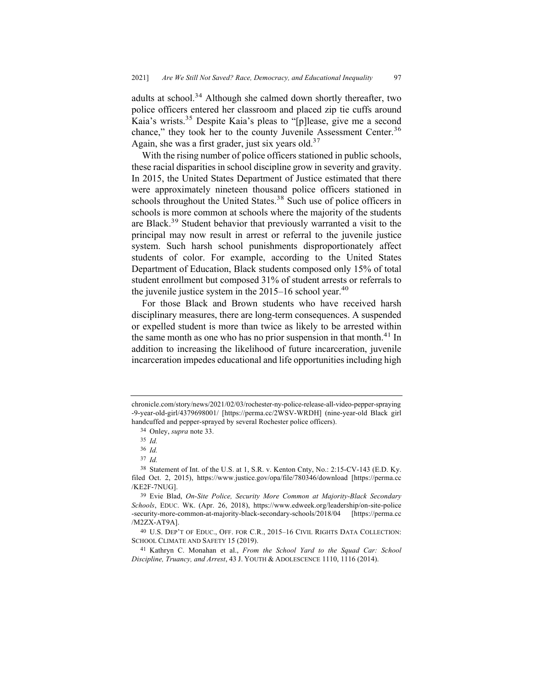adults at school.<sup>34</sup> Although she calmed down shortly thereafter, two police officers entered her classroom and placed zip tie cuffs around Kaia's wrists.35 Despite Kaia's pleas to "[p]lease, give me a second chance," they took her to the county Juvenile Assessment Center.<sup>36</sup> Again, she was a first grader, just six years old. $37$ 

With the rising number of police officers stationed in public schools, these racial disparities in school discipline grow in severity and gravity. In 2015, the United States Department of Justice estimated that there were approximately nineteen thousand police officers stationed in schools throughout the United States.<sup>38</sup> Such use of police officers in schools is more common at schools where the majority of the students are Black.<sup>39</sup> Student behavior that previously warranted a visit to the principal may now result in arrest or referral to the juvenile justice system. Such harsh school punishments disproportionately affect students of color. For example, according to the United States Department of Education, Black students composed only 15% of total student enrollment but composed 31% of student arrests or referrals to the juvenile justice system in the  $2015-16$  school year.<sup>40</sup>

For those Black and Brown students who have received harsh disciplinary measures, there are long-term consequences. A suspended or expelled student is more than twice as likely to be arrested within the same month as one who has no prior suspension in that month.<sup>41</sup> In addition to increasing the likelihood of future incarceration, juvenile incarceration impedes educational and life opportunities including high

chronicle.com/story/news/2021/02/03/rochester-ny-police-release-all-video-pepper-spraying -9-year-old-girl/4379698001/ [https://perma.cc/2WSV-WRDH] (nine-year-old Black girl handcuffed and pepper-sprayed by several Rochester police officers).

<sup>34</sup> Onley, *supra* note 33.

<sup>35</sup> *Id.*

<sup>36</sup> *Id.*

<sup>37</sup> *Id.* 

<sup>38</sup> Statement of Int. of the U.S. at 1, S.R. v. Kenton Cnty, No.: 2:15-CV-143 (E.D. Ky. filed Oct. 2, 2015), https://www.justice.gov/opa/file/780346/download [https://perma.cc /KE2F-7NUG].

<sup>39</sup> Evie Blad, *On-Site Police, Security More Common at Majority-Black Secondary Schools*, EDUC. WK. (Apr. 26, 2018), https://www.edweek.org/leadership/on-site-police -security-more-common-at-majority-black-secondary-schools/2018/04 [https://perma.cc /M2ZX-AT9A].

<sup>40</sup> U.S. DEP'T OF EDUC., OFF. FOR C.R., 2015–16 CIVIL RIGHTS DATA COLLECTION: SCHOOL CLIMATE AND SAFETY 15 (2019).

<sup>41</sup> Kathryn C. Monahan et al., *From the School Yard to the Squad Car: School Discipline, Truancy, and Arrest*, 43 J. YOUTH & ADOLESCENCE 1110, 1116 (2014).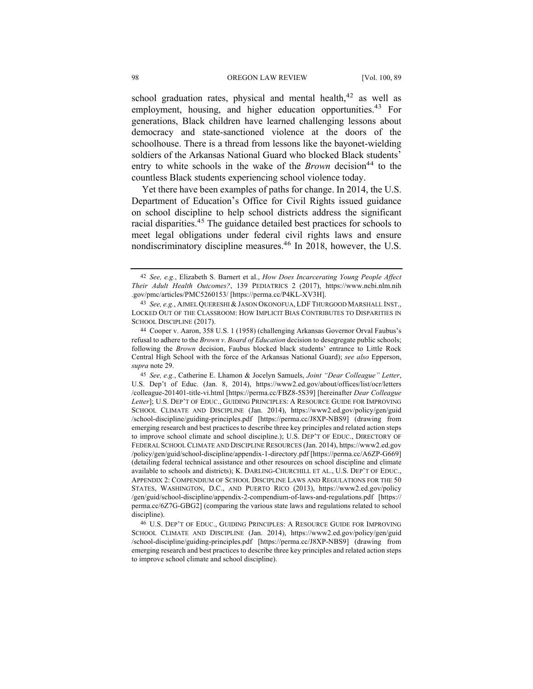school graduation rates, physical and mental health, $42$  as well as employment, housing, and higher education opportunities.<sup>43</sup> For generations, Black children have learned challenging lessons about democracy and state-sanctioned violence at the doors of the schoolhouse. There is a thread from lessons like the bayonet-wielding soldiers of the Arkansas National Guard who blocked Black students' entry to white schools in the wake of the *Brown* decision<sup>44</sup> to the countless Black students experiencing school violence today.

Yet there have been examples of paths for change. In 2014, the U.S. Department of Education's Office for Civil Rights issued guidance on school discipline to help school districts address the significant racial disparities.<sup>45</sup> The guidance detailed best practices for schools to meet legal obligations under federal civil rights laws and ensure nondiscriminatory discipline measures.<sup>46</sup> In 2018, however, the U.S.

<sup>42</sup> *See, e.g.*, Elizabeth S. Barnert et al., *How Does Incarcerating Young People Affect Their Adult Health Outcomes?*, 139 PEDIATRICS 2 (2017), https://www.ncbi.nlm.nih .gov/pmc/articles/PMC5260153/ [https://perma.cc/P4KL-XV3H].

<sup>43</sup> *See, e.g.*, AJMEL QUERESHI & JASON OKONOFUA, LDF THURGOOD MARSHALL INST., LOCKED OUT OF THE CLASSROOM: HOW IMPLICIT BIAS CONTRIBUTES TO DISPARITIES IN SCHOOL DISCIPLINE (2017).

<sup>44</sup> Cooper v. Aaron, 358 U.S. 1 (1958) (challenging Arkansas Governor Orval Faubus's refusal to adhere to the *Brown v. Board of Education* decision to desegregate public schools; following the *Brown* decision, Faubus blocked black students' entrance to Little Rock Central High School with the force of the Arkansas National Guard); *see also* Epperson, *supra* note 29.

<sup>45</sup> *See, e.g.*, Catherine E. Lhamon & Jocelyn Samuels, *Joint "Dear Colleague" Letter*, U.S. Dep't of Educ. (Jan. 8, 2014), https://www2.ed.gov/about/offices/list/ocr/letters /colleague-201401-title-vi.html [https://perma.cc/FBZ8-5S39] [hereinafter *Dear Colleague Letter*]; U.S. DEP'T OF EDUC., GUIDING PRINCIPLES: A RESOURCE GUIDE FOR IMPROVING SCHOOL CLIMATE AND DISCIPLINE (Jan. 2014), https://www2.ed.gov/policy/gen/guid /school-discipline/guiding-principles.pdf [https://perma.cc/J8XP-NBS9] (drawing from emerging research and best practices to describe three key principles and related action steps to improve school climate and school discipline.); U.S. DEP'T OF EDUC., DIRECTORY OF FEDERAL SCHOOL CLIMATE AND DISCIPLINE RESOURCES (Jan. 2014), https://www2.ed.gov /policy/gen/guid/school-discipline/appendix-1-directory.pdf [https://perma.cc/A6ZP-G669] (detailing federal technical assistance and other resources on school discipline and climate available to schools and districts); K. DARLING-CHURCHILL ET AL., U.S. DEP'T OF EDUC., APPENDIX 2: COMPENDIUM OF SCHOOL DISCIPLINE LAWS AND REGULATIONS FOR THE 50 STATES, WASHINGTON, D.C., AND PUERTO RICO (2013), https://www2.ed.gov/policy /gen/guid/school-discipline/appendix-2-compendium-of-laws-and-regulations.pdf [https:// perma.cc/6Z7G-GBG2] (comparing the various state laws and regulations related to school discipline).

<sup>46</sup> U.S. DEP'T OF EDUC., GUIDING PRINCIPLES: A RESOURCE GUIDE FOR IMPROVING SCHOOL CLIMATE AND DISCIPLINE (Jan. 2014), https://www2.ed.gov/policy/gen/guid /school-discipline/guiding-principles.pdf [https://perma.cc/J8XP-NBS9] (drawing from emerging research and best practices to describe three key principles and related action steps to improve school climate and school discipline).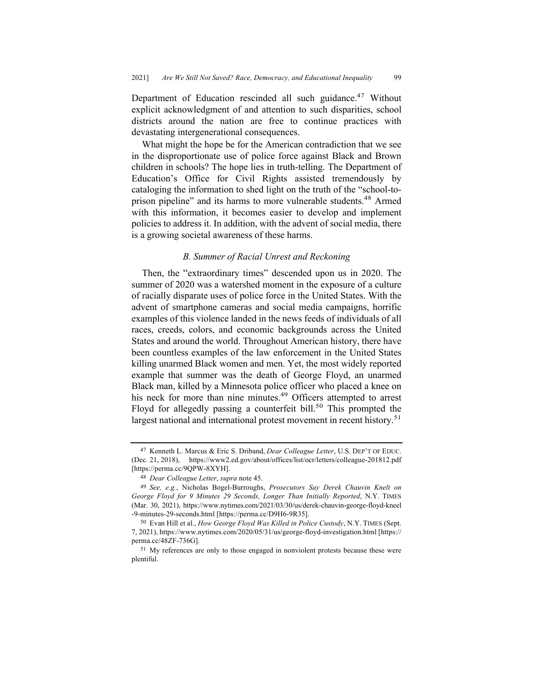Department of Education rescinded all such guidance.<sup>47</sup> Without explicit acknowledgment of and attention to such disparities, school districts around the nation are free to continue practices with devastating intergenerational consequences.

What might the hope be for the American contradiction that we see in the disproportionate use of police force against Black and Brown children in schools? The hope lies in truth-telling. The Department of Education's Office for Civil Rights assisted tremendously by cataloging the information to shed light on the truth of the "school-toprison pipeline" and its harms to more vulnerable students.<sup>48</sup> Armed with this information, it becomes easier to develop and implement policies to address it. In addition, with the advent of social media, there is a growing societal awareness of these harms.

#### *B. Summer of Racial Unrest and Reckoning*

Then, the "extraordinary times" descended upon us in 2020. The summer of 2020 was a watershed moment in the exposure of a culture of racially disparate uses of police force in the United States. With the advent of smartphone cameras and social media campaigns, horrific examples of this violence landed in the news feeds of individuals of all races, creeds, colors, and economic backgrounds across the United States and around the world. Throughout American history, there have been countless examples of the law enforcement in the United States killing unarmed Black women and men. Yet, the most widely reported example that summer was the death of George Floyd, an unarmed Black man, killed by a Minnesota police officer who placed a knee on his neck for more than nine minutes.<sup>49</sup> Officers attempted to arrest Floyd for allegedly passing a counterfeit bill.<sup>50</sup> This prompted the largest national and international protest movement in recent history.<sup>51</sup>

<sup>47</sup> Kenneth L. Marcus & Eric S. Driband, *Dear Colleague Letter*, U.S. DEP'T OF EDUC. (Dec. 21, 2018), https://www2.ed.gov/about/offices/list/ocr/letters/colleague-201812.pdf [https://perma.cc/9QPW-8XYH].

<sup>48</sup> *Dear Colleague Letter*, *supra* note 45.

<sup>49</sup> *See, e.g.*, Nicholas Bogel-Burroughs, *Prosecutors Say Derek Chauvin Knelt on George Floyd for 9 Minutes 29 Seconds, Longer Than Initially Reported*, N.Y. TIMES (Mar. 30, 2021), https://www.nytimes.com/2021/03/30/us/derek-chauvin-george-floyd-kneel -9-minutes-29-seconds.html [https://perma.cc/D9H6-9R35].

<sup>50</sup> Evan Hill et al., *How George Floyd Was Killed in Police Custody*, N.Y. TIMES (Sept. 7, 2021), https://www.nytimes.com/2020/05/31/us/george-floyd-investigation.html [https:// perma.cc/48ZF-736G].

<sup>51</sup> My references are only to those engaged in nonviolent protests because these were plentiful.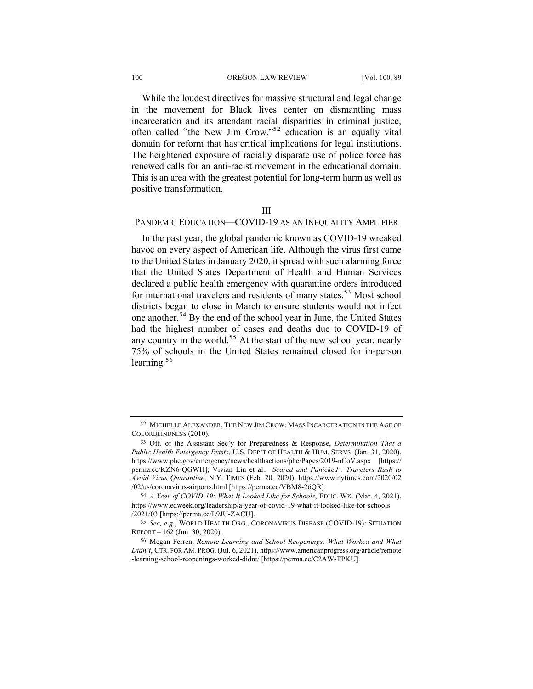#### 100 OREGON LAW REVIEW [Vol. 100, 89

While the loudest directives for massive structural and legal change in the movement for Black lives center on dismantling mass incarceration and its attendant racial disparities in criminal justice, often called "the New Jim Crow,"<sup>52</sup> education is an equally vital domain for reform that has critical implications for legal institutions. The heightened exposure of racially disparate use of police force has renewed calls for an anti-racist movement in the educational domain. This is an area with the greatest potential for long-term harm as well as positive transformation.

III

#### PANDEMIC EDUCATION—COVID-19 AS AN INEQUALITY AMPLIFIER

In the past year, the global pandemic known as COVID-19 wreaked havoc on every aspect of American life. Although the virus first came to the United States in January 2020, it spread with such alarming force that the United States Department of Health and Human Services declared a public health emergency with quarantine orders introduced for international travelers and residents of many states.<sup>53</sup> Most school districts began to close in March to ensure students would not infect one another.<sup>54</sup> By the end of the school year in June, the United States had the highest number of cases and deaths due to COVID-19 of any country in the world.<sup>55</sup> At the start of the new school year, nearly 75% of schools in the United States remained closed for in-person learning. $56$ 

<sup>52</sup> MICHELLE ALEXANDER, THE NEW JIM CROW: MASS INCARCERATION IN THE AGE OF COLORBLINDNESS (2010).

<sup>53</sup> Off. of the Assistant Sec'y for Preparedness & Response, *Determination That a Public Health Emergency Exists*, U.S. DEP'T OF HEALTH & HUM. SERVS. (Jan. 31, 2020), https://www.phe.gov/emergency/news/healthactions/phe/Pages/2019-nCoV.aspx [https:// perma.cc/KZN6-QGWH]; Vivian Lin et al., *'Scared and Panicked': Travelers Rush to Avoid Virus Quarantine*, N.Y. TIMES (Feb. 20, 2020), https://www.nytimes.com/2020/02 /02/us/coronavirus-airports.html [https://perma.cc/VBM8-26QR].

<sup>54</sup> *A Year of COVID-19: What It Looked Like for Schools*, EDUC. WK. (Mar. 4, 2021), https://www.edweek.org/leadership/a-year-of-covid-19-what-it-looked-like-for-schools /2021/03 [https://perma.cc/L9JU-ZACU].

<sup>55</sup> *See, e.g.*, WORLD HEALTH ORG., CORONAVIRUS DISEASE (COVID-19): SITUATION REPORT – 162 (Jun. 30, 2020).

<sup>56</sup> Megan Ferren, *Remote Learning and School Reopenings: What Worked and What Didn't*, CTR. FOR AM. PROG. (Jul. 6, 2021), https://www.americanprogress.org/article/remote -learning-school-reopenings-worked-didnt/ [https://perma.cc/C2AW-TPKU].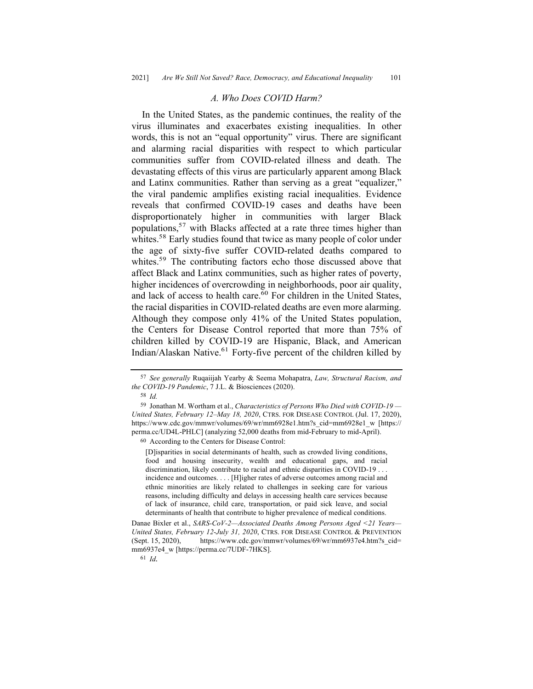#### *A. Who Does COVID Harm?*

In the United States, as the pandemic continues, the reality of the virus illuminates and exacerbates existing inequalities. In other words, this is not an "equal opportunity" virus. There are significant and alarming racial disparities with respect to which particular communities suffer from COVID-related illness and death. The devastating effects of this virus are particularly apparent among Black and Latinx communities. Rather than serving as a great "equalizer," the viral pandemic amplifies existing racial inequalities. Evidence reveals that confirmed COVID-19 cases and deaths have been disproportionately higher in communities with larger Black populations,<sup>57</sup> with Blacks affected at a rate three times higher than whites.<sup>58</sup> Early studies found that twice as many people of color under the age of sixty-five suffer COVID-related deaths compared to whites.<sup>59</sup> The contributing factors echo those discussed above that affect Black and Latinx communities, such as higher rates of poverty, higher incidences of overcrowding in neighborhoods, poor air quality, and lack of access to health care. $60$  For children in the United States, the racial disparities in COVID-related deaths are even more alarming. Although they compose only 41% of the United States population, the Centers for Disease Control reported that more than 75% of children killed by COVID-19 are Hispanic, Black, and American Indian/Alaskan Native.<sup>61</sup> Forty-five percent of the children killed by

60 According to the Centers for Disease Control:

[D]isparities in social determinants of health, such as crowded living conditions, food and housing insecurity, wealth and educational gaps, and racial discrimination, likely contribute to racial and ethnic disparities in COVID-19 . . . incidence and outcomes. . . . [H]igher rates of adverse outcomes among racial and ethnic minorities are likely related to challenges in seeking care for various reasons, including difficulty and delays in accessing health care services because of lack of insurance, child care, transportation, or paid sick leave, and social determinants of health that contribute to higher prevalence of medical conditions.

Danae Bixler et al., *SARS-CoV-2—Associated Deaths Among Persons Aged <21 Years— United States, February 12-July 31, 2020*, CTRS. FOR DISEASE CONTROL & PREVENTION (Sept. 15, 2020), https://www.cdc.gov/mmwr/volumes/69/wr/mm6937e4.htm?s\_cid= mm6937e4\_w [https://perma.cc/7UDF-7HKS].

<sup>61</sup> *Id.*

<sup>57</sup> *See generally* Ruqaiijah Yearby & Seema Mohapatra, *Law, Structural Racism, and the COVID-19 Pandemic*, 7 J.L. & Biosciences (2020).

<sup>58</sup> *Id.*

<sup>59</sup> Jonathan M. Wortham et al., *Characteristics of Persons Who Died with COVID-19 — United States, February 12–May 18, 2020*, CTRS. FOR DISEASE CONTROL (Jul. 17, 2020), https://www.cdc.gov/mmwr/volumes/69/wr/mm6928e1.htm?s\_cid=mm6928e1\_w [https:// perma.cc/UD4L-PHLC] (analyzing 52,000 deaths from mid-February to mid-April).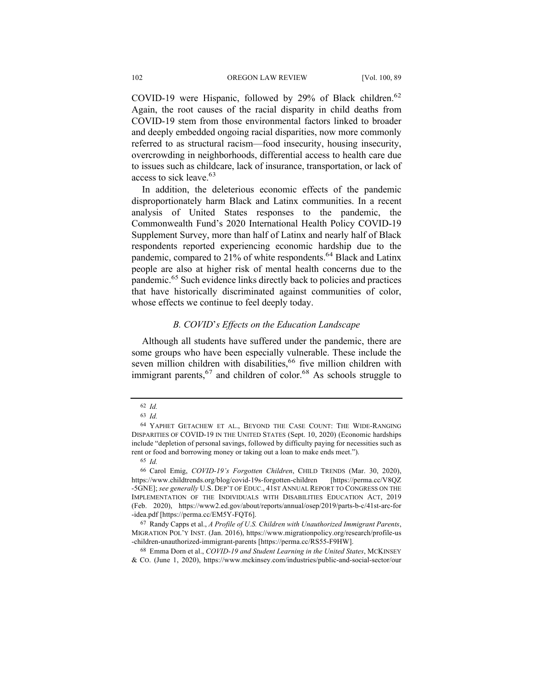COVID-19 were Hispanic, followed by 29% of Black children.<sup>62</sup> Again, the root causes of the racial disparity in child deaths from COVID-19 stem from those environmental factors linked to broader and deeply embedded ongoing racial disparities, now more commonly referred to as structural racism—food insecurity, housing insecurity, overcrowding in neighborhoods, differential access to health care due to issues such as childcare, lack of insurance, transportation, or lack of access to sick leave.<sup>63</sup>

In addition, the deleterious economic effects of the pandemic disproportionately harm Black and Latinx communities. In a recent analysis of United States responses to the pandemic, the Commonwealth Fund's 2020 International Health Policy COVID-19 Supplement Survey, more than half of Latinx and nearly half of Black respondents reported experiencing economic hardship due to the pandemic, compared to 21% of white respondents.<sup>64</sup> Black and Latinx people are also at higher risk of mental health concerns due to the pandemic.<sup>65</sup> Such evidence links directly back to policies and practices that have historically discriminated against communities of color, whose effects we continue to feel deeply today.

## *B. COVID*'*s Effects on the Education Landscape*

Although all students have suffered under the pandemic, there are some groups who have been especially vulnerable. These include the seven million children with disabilities,<sup>66</sup> five million children with immigrant parents,  $67$  and children of color.<sup>68</sup> As schools struggle to

68 Emma Dorn et al., *COVID-19 and Student Learning in the United States*, MCKINSEY & CO. (June 1, 2020), https://www.mckinsey.com/industries/public-and-social-sector/our

<sup>62</sup> *Id.*

<sup>63</sup> *Id.*

<sup>64</sup> YAPHET GETACHEW ET AL., BEYOND THE CASE COUNT: THE WIDE-RANGING DISPARITIES OF COVID-19 IN THE UNITED STATES (Sept. 10, 2020) (Economic hardships include "depletion of personal savings, followed by difficulty paying for necessities such as rent or food and borrowing money or taking out a loan to make ends meet.").

<sup>65</sup> *Id.*

<sup>66</sup> Carol Emig, *COVID-19's Forgotten Children*, CHILD TRENDS (Mar. 30, 2020), https://www.childtrends.org/blog/covid-19s-forgotten-children [https://perma.cc/V8QZ -5GNE]; *see generally* U.S. DEP'T OF EDUC., 41ST ANNUAL REPORT TO CONGRESS ON THE IMPLEMENTATION OF THE INDIVIDUALS WITH DISABILITIES EDUCATION ACT, 2019 (Feb. 2020), https://www2.ed.gov/about/reports/annual/osep/2019/parts-b-c/41st-arc-for -idea.pdf [https://perma.cc/EM5Y-FQT6].

<sup>67</sup> Randy Capps et al., *A Profile of U.S. Children with Unauthorized Immigrant Parents*, MIGRATION POL'Y INST. (Jan. 2016), https://www.migrationpolicy.org/research/profile-us -children-unauthorized-immigrant-parents [https://perma.cc/RS55-F9HW].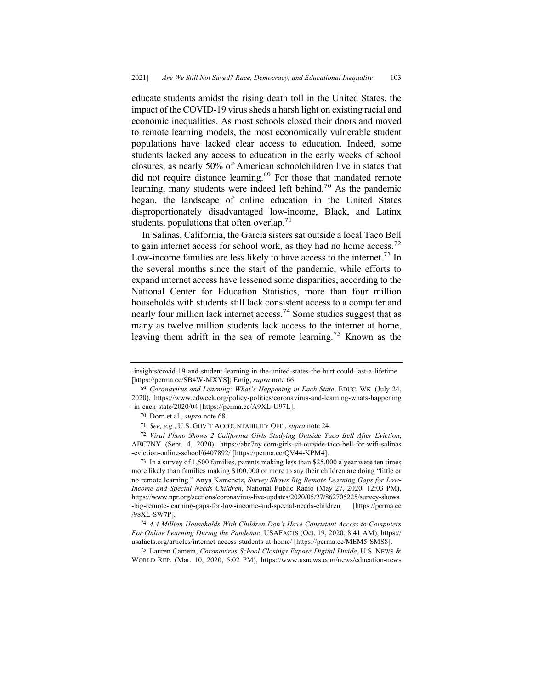educate students amidst the rising death toll in the United States, the impact of the COVID-19 virus sheds a harsh light on existing racial and economic inequalities. As most schools closed their doors and moved to remote learning models, the most economically vulnerable student populations have lacked clear access to education. Indeed, some students lacked any access to education in the early weeks of school closures, as nearly 50% of American schoolchildren live in states that did not require distance learning.<sup>69</sup> For those that mandated remote learning, many students were indeed left behind.<sup>70</sup> As the pandemic began, the landscape of online education in the United States disproportionately disadvantaged low-income, Black, and Latinx students, populations that often overlap.<sup>71</sup>

In Salinas, California, the Garcia sisters sat outside a local Taco Bell to gain internet access for school work, as they had no home access.<sup>72</sup> Low-income families are less likely to have access to the internet.<sup>73</sup> In the several months since the start of the pandemic, while efforts to expand internet access have lessened some disparities, according to the National Center for Education Statistics, more than four million households with students still lack consistent access to a computer and nearly four million lack internet access. <sup>74</sup> Some studies suggest that as many as twelve million students lack access to the internet at home, leaving them adrift in the sea of remote learning.<sup>75</sup> Known as the

<sup>-</sup>insights/covid-19-and-student-learning-in-the-united-states-the-hurt-could-last-a-lifetime [https://perma.cc/SB4W-MXYS]; Emig, *supra* note 66.

<sup>69</sup> *Coronavirus and Learning: What's Happening in Each State*, EDUC. WK. (July 24, 2020), https://www.edweek.org/policy-politics/coronavirus-and-learning-whats-happening -in-each-state/2020/04 [https://perma.cc/A9XL-U97L].

<sup>70</sup> Dorn et al., *supra* note 68.

<sup>71</sup> *See, e.g.*, U.S. GOV'T ACCOUNTABILITY OFF., *supra* note 24.

<sup>72</sup> *Viral Photo Shows 2 California Girls Studying Outside Taco Bell After Eviction*, ABC7NY (Sept. 4, 2020), https://abc7ny.com/girls-sit-outside-taco-bell-for-wifi-salinas -eviction-online-school/6407892/ [https://perma.cc/QV44-KPM4].

<sup>73</sup> In a survey of 1,500 families, parents making less than \$25,000 a year were ten times more likely than families making \$100,000 or more to say their children are doing "little or no remote learning." Anya Kamenetz, *Survey Shows Big Remote Learning Gaps for Low-Income and Special Needs Children*, National Public Radio (May 27, 2020, 12:03 PM), https://www.npr.org/sections/coronavirus-live-updates/2020/05/27/862705225/survey-shows -big-remote-learning-gaps-for-low-income-and-special-needs-children [https://perma.cc /98XL-SW7P].

<sup>74</sup> *4.4 Million Households With Children Don't Have Consistent Access to Computers For Online Learning During the Pandemic*, USAFACTS (Oct. 19, 2020, 8:41 AM), https:// usafacts.org/articles/internet-access-students-at-home/ [https://perma.cc/MEM5-SMS8].

<sup>75</sup> Lauren Camera, *Coronavirus School Closings Expose Digital Divide*, U.S. NEWS & WORLD REP. (Mar. 10, 2020, 5:02 PM), https://www.usnews.com/news/education-news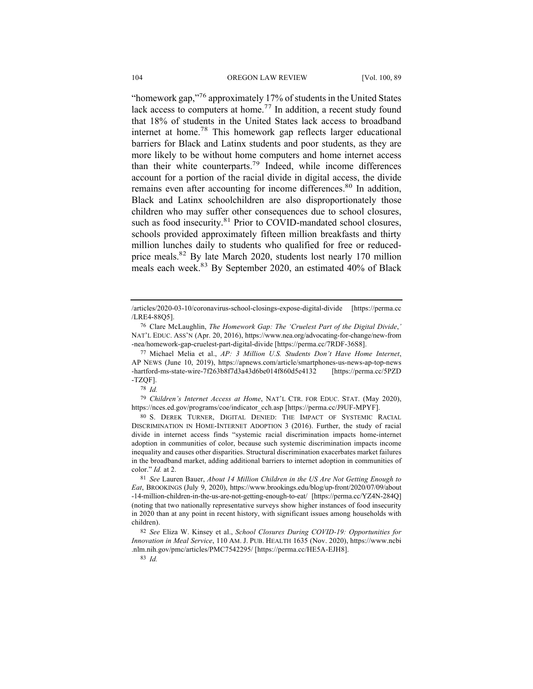"homework gap,"<sup>76</sup> approximately 17% of students in the United States lack access to computers at home.<sup>77</sup> In addition, a recent study found that 18% of students in the United States lack access to broadband internet at home.<sup>78</sup> This homework gap reflects larger educational barriers for Black and Latinx students and poor students, as they are more likely to be without home computers and home internet access than their white counterparts.79 Indeed, while income differences account for a portion of the racial divide in digital access, the divide remains even after accounting for income differences.<sup>80</sup> In addition, Black and Latinx schoolchildren are also disproportionately those children who may suffer other consequences due to school closures, such as food insecurity.<sup>81</sup> Prior to COVID-mandated school closures, schools provided approximately fifteen million breakfasts and thirty million lunches daily to students who qualified for free or reducedprice meals.<sup>82</sup> By late March 2020, students lost nearly 170 million meals each week.<sup>83</sup> By September 2020, an estimated 40% of Black

78 *Id.*

79 *Children's Internet Access at Home*, NAT'L CTR. FOR EDUC. STAT. (May 2020), https://nces.ed.gov/programs/coe/indicator\_cch.asp [https://perma.cc/J9UF-MPYF].

83 *Id.*

<sup>/</sup>articles/2020-03-10/coronavirus-school-closings-expose-digital-divide [https://perma.cc /LRE4-88Q5].

<sup>76</sup> Clare McLaughlin, *The Homework Gap: The 'Cruelest Part of the Digital Divide*,*'* NAT'L EDUC. ASS'N (Apr. 20, 2016), https://www.nea.org/advocating-for-change/new-from -nea/homework-gap-cruelest-part-digital-divide [https://perma.cc/7RDF-36S8].

<sup>77</sup> Michael Melia et al., *AP: 3 Million U.S. Students Don't Have Home Internet*, AP NEWS (June 10, 2019), https://apnews.com/article/smartphones-us-news-ap-top-news -hartford-ms-state-wire-7f263b8f7d3a43d6be014f860d5e4132 [https://perma.cc/5PZD -TZQF].

<sup>80</sup> S. DEREK TURNER, DIGITAL DENIED: THE IMPACT OF SYSTEMIC RACIAL DISCRIMINATION IN HOME-INTERNET ADOPTION 3 (2016). Further, the study of racial divide in internet access finds "systemic racial discrimination impacts home-internet adoption in communities of color, because such systemic discrimination impacts income inequality and causes other disparities. Structural discrimination exacerbates market failures in the broadband market, adding additional barriers to internet adoption in communities of color." *Id.* at 2.

<sup>81</sup> *See* Lauren Bauer, *About 14 Million Children in the US Are Not Getting Enough to Eat*, BROOKINGS (July 9, 2020), https://www.brookings.edu/blog/up-front/2020/07/09/about -14-million-children-in-the-us-are-not-getting-enough-to-eat/ [https://perma.cc/YZ4N-284Q] (noting that two nationally representative surveys show higher instances of food insecurity in 2020 than at any point in recent history, with significant issues among households with children).

<sup>82</sup> *See* Eliza W. Kinsey et al., *School Closures During COVID-19: Opportunities for Innovation in Meal Service*, 110 AM. J. PUB. HEALTH 1635 (Nov. 2020), https://www.ncbi .nlm.nih.gov/pmc/articles/PMC7542295/ [https://perma.cc/HE5A-EJH8].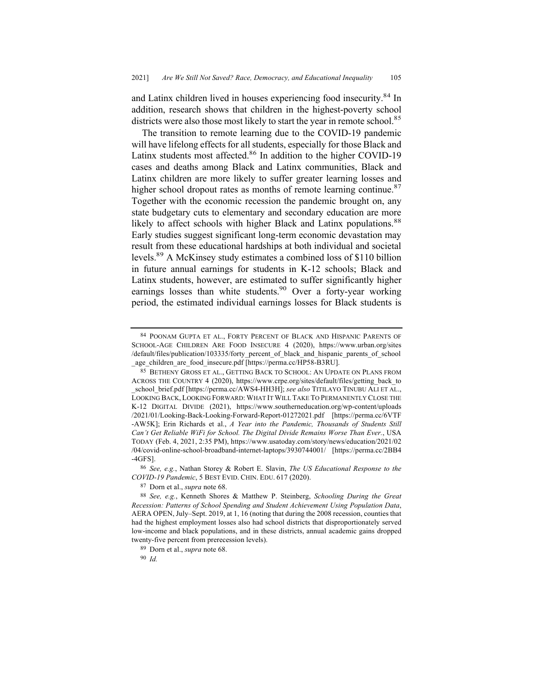and Latinx children lived in houses experiencing food insecurity.<sup>84</sup> In addition, research shows that children in the highest-poverty school districts were also those most likely to start the year in remote school.<sup>85</sup>

The transition to remote learning due to the COVID-19 pandemic will have lifelong effects for all students, especially for those Black and Latinx students most affected.<sup>86</sup> In addition to the higher COVID-19 cases and deaths among Black and Latinx communities, Black and Latinx children are more likely to suffer greater learning losses and higher school dropout rates as months of remote learning continue.<sup>87</sup> Together with the economic recession the pandemic brought on, any state budgetary cuts to elementary and secondary education are more likely to affect schools with higher Black and Latinx populations.<sup>88</sup> Early studies suggest significant long-term economic devastation may result from these educational hardships at both individual and societal levels.89 A McKinsey study estimates a combined loss of \$110 billion in future annual earnings for students in K-12 schools; Black and Latinx students, however, are estimated to suffer significantly higher earnings losses than white students.<sup>90</sup> Over a forty-year working period, the estimated individual earnings losses for Black students is

<sup>84</sup> POONAM GUPTA ET AL., FORTY PERCENT OF BLACK AND HISPANIC PARENTS OF SCHOOL-AGE CHILDREN ARE FOOD INSECURE 4 (2020), https://www.urban.org/sites /default/files/publication/103335/forty\_percent\_of\_black\_and\_hispanic\_parents\_of\_school \_age\_children\_are\_food\_insecure.pdf [https://perma.cc/HP58-B3RU].

<sup>85</sup> BETHENY GROSS ET AL., GETTING BACK TO SCHOOL: AN UPDATE ON PLANS FROM ACROSS THE COUNTRY 4 (2020), https://www.crpe.org/sites/default/files/getting\_back\_to school\_brief.pdf [https://perma.cc/AWS4-HH3H]; *see also* TITILAYO TINUBU ALI ET AL., LOOKING BACK, LOOKING FORWARD: WHAT IT WILL TAKE TO PERMANENTLY CLOSE THE K-12 DIGITAL DIVIDE (2021), https://www.southerneducation.org/wp-content/uploads /2021/01/Looking-Back-Looking-Forward-Report-01272021.pdf [https://perma.cc/6VTF -AW5K]; Erin Richards et al., *A Year into the Pandemic, Thousands of Students Still Can't Get Reliable WiFi for School. The Digital Divide Remains Worse Than Ever.*, USA TODAY (Feb. 4, 2021, 2:35 PM), https://www.usatoday.com/story/news/education/2021/02 /04/covid-online-school-broadband-internet-laptops/3930744001/ [https://perma.cc/2BB4 -4GFS].

<sup>86</sup> *See, e.g.*, Nathan Storey & Robert E. Slavin, *The US Educational Response to the COVID-19 Pandemic*, 5 BEST EVID. CHIN. EDU. 617 (2020).

<sup>87</sup> Dorn et al., *supra* note 68.

<sup>88</sup> *See, e.g.*, Kenneth Shores & Matthew P. Steinberg, *Schooling During the Great Recession: Patterns of School Spending and Student Achievement Using Population Data*, AERA OPEN, July–Sept. 2019, at 1, 16 (noting that during the 2008 recession, counties that had the highest employment losses also had school districts that disproportionately served low-income and black populations, and in these districts, annual academic gains dropped twenty-five percent from prerecession levels).

<sup>89</sup> Dorn et al., *supra* note 68.

<sup>90</sup> *Id.*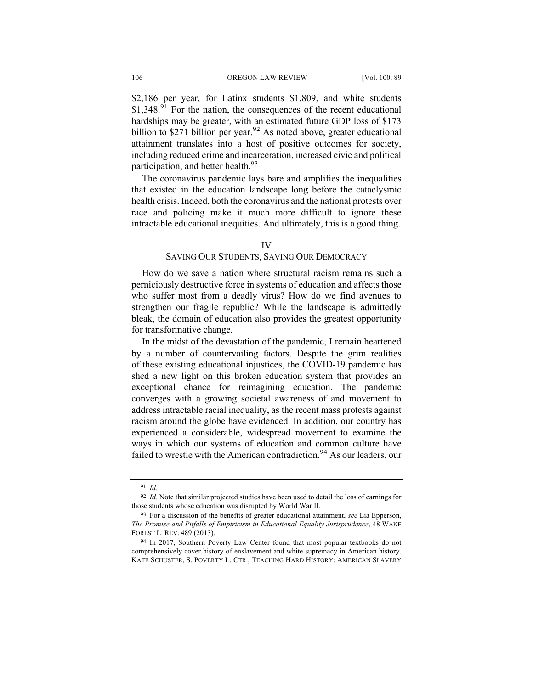\$2,186 per year, for Latinx students \$1,809, and white students  $$1,348<sup>91</sup>$  For the nation, the consequences of the recent educational hardships may be greater, with an estimated future GDP loss of \$173 billion to \$271 billion per year.<sup>92</sup> As noted above, greater educational attainment translates into a host of positive outcomes for society, including reduced crime and incarceration, increased civic and political participation, and better health.<sup>93</sup>

The coronavirus pandemic lays bare and amplifies the inequalities that existed in the education landscape long before the cataclysmic health crisis. Indeed, both the coronavirus and the national protests over race and policing make it much more difficult to ignore these intractable educational inequities. And ultimately, this is a good thing.

#### IV

## SAVING OUR STUDENTS, SAVING OUR DEMOCRACY

How do we save a nation where structural racism remains such a perniciously destructive force in systems of education and affects those who suffer most from a deadly virus? How do we find avenues to strengthen our fragile republic? While the landscape is admittedly bleak, the domain of education also provides the greatest opportunity for transformative change.

In the midst of the devastation of the pandemic, I remain heartened by a number of countervailing factors. Despite the grim realities of these existing educational injustices, the COVID-19 pandemic has shed a new light on this broken education system that provides an exceptional chance for reimagining education. The pandemic converges with a growing societal awareness of and movement to address intractable racial inequality, as the recent mass protests against racism around the globe have evidenced. In addition, our country has experienced a considerable, widespread movement to examine the ways in which our systems of education and common culture have failed to wrestle with the American contradiction.<sup>94</sup> As our leaders, our

<sup>91</sup> *Id.*

<sup>&</sup>lt;sup>92</sup> *Id.* Note that similar projected studies have been used to detail the loss of earnings for those students whose education was disrupted by World War II.

<sup>93</sup> For a discussion of the benefits of greater educational attainment, *see* Lia Epperson, *The Promise and Pitfalls of Empiricism in Educational Equality Jurisprudence*, 48 WAKE FOREST L. REV. 489 (2013).

<sup>94</sup> In 2017, Southern Poverty Law Center found that most popular textbooks do not comprehensively cover history of enslavement and white supremacy in American history. KATE SCHUSTER, S. POVERTY L. CTR., TEACHING HARD HISTORY: AMERICAN SLAVERY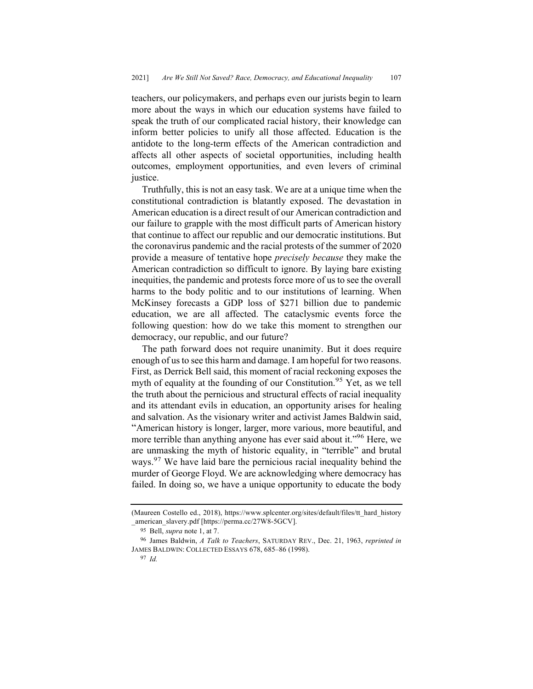teachers, our policymakers, and perhaps even our jurists begin to learn more about the ways in which our education systems have failed to speak the truth of our complicated racial history, their knowledge can inform better policies to unify all those affected. Education is the antidote to the long-term effects of the American contradiction and affects all other aspects of societal opportunities, including health outcomes, employment opportunities, and even levers of criminal justice.

Truthfully, this is not an easy task. We are at a unique time when the constitutional contradiction is blatantly exposed. The devastation in American education is a direct result of our American contradiction and our failure to grapple with the most difficult parts of American history that continue to affect our republic and our democratic institutions. But the coronavirus pandemic and the racial protests of the summer of 2020 provide a measure of tentative hope *precisely because* they make the American contradiction so difficult to ignore. By laying bare existing inequities, the pandemic and protests force more of us to see the overall harms to the body politic and to our institutions of learning. When McKinsey forecasts a GDP loss of \$271 billion due to pandemic education, we are all affected. The cataclysmic events force the following question: how do we take this moment to strengthen our democracy, our republic, and our future?

The path forward does not require unanimity. But it does require enough of us to see this harm and damage. I am hopeful for two reasons. First, as Derrick Bell said, this moment of racial reckoning exposes the myth of equality at the founding of our Constitution.<sup>95</sup> Yet, as we tell the truth about the pernicious and structural effects of racial inequality and its attendant evils in education, an opportunity arises for healing and salvation. As the visionary writer and activist James Baldwin said, "American history is longer, larger, more various, more beautiful, and more terrible than anything anyone has ever said about it."<sup>96</sup> Here, we are unmasking the myth of historic equality, in "terrible" and brutal ways.<sup>97</sup> We have laid bare the pernicious racial inequality behind the murder of George Floyd. We are acknowledging where democracy has failed. In doing so, we have a unique opportunity to educate the body

<sup>(</sup>Maureen Costello ed., 2018), https://www.splcenter.org/sites/default/files/tt\_hard\_history \_american\_slavery.pdf [https://perma.cc/27W8-5GCV].

<sup>95</sup> Bell, *supra* note 1, at 7.

<sup>96</sup> James Baldwin, *A Talk to Teachers*, SATURDAY REV., Dec. 21, 1963, *reprinted in* JAMES BALDWIN: COLLECTED ESSAYS 678, 685–86 (1998).

<sup>97</sup> *Id.*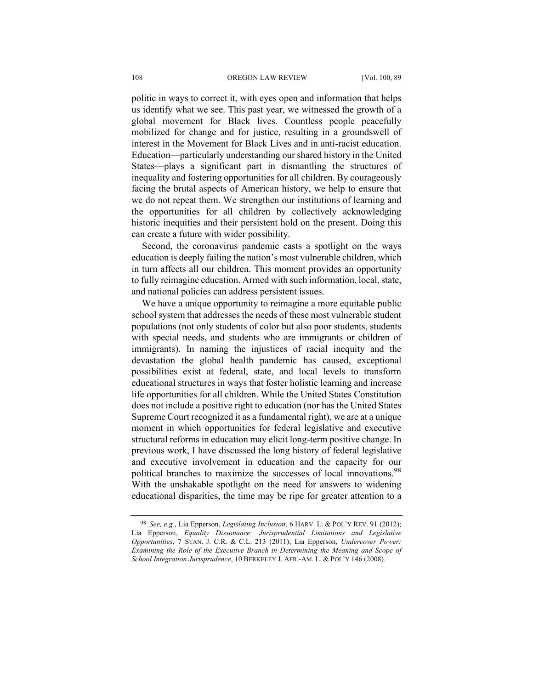politic in ways to correct it, with eyes open and information that helps us identify what we see. This past year, we witnessed the growth of a global movement for Black lives. Countless people peacefully mobilized for change and for justice, resulting in a groundswell of interest in the Movement for Black Lives and in anti-racist education. Education—particularly understanding our shared history in the United States—plays a significant part in dismantling the structures of inequality and fostering opportunities for all children. By courageously facing the brutal aspects of American history, we help to ensure that we do not repeat them. We strengthen our institutions of learning and the opportunities for all children by collectively acknowledging historic inequities and their persistent hold on the present. Doing this can create a future with wider possibility.

Second, the coronavirus pandemic casts a spotlight on the ways education is deeply failing the nation's most vulnerable children, which in turn affects all our children. This moment provides an opportunity to fully reimagine education. Armed with such information, local, state, and national policies can address persistent issues.

We have a unique opportunity to reimagine a more equitable public school system that addresses the needs of these most vulnerable student populations (not only students of color but also poor students, students with special needs, and students who are immigrants or children of immigrants). In naming the injustices of racial inequity and the devastation the global health pandemic has caused, exceptional possibilities exist at federal, state, and local levels to transform educational structures in ways that foster holistic learning and increase life opportunities for all children. While the United States Constitution does not include a positive right to education (nor has the United States Supreme Court recognized it as a fundamental right), we are at a unique moment in which opportunities for federal legislative and executive structural reforms in education may elicit long-term positive change. In previous work, I have discussed the long history of federal legislative and executive involvement in education and the capacity for our political branches to maximize the successes of local innovations.<sup>98</sup> With the unshakable spotlight on the need for answers to widening educational disparities, the time may be ripe for greater attention to a

<sup>98</sup> *See, e.g.*, Lia Epperson, *Legislating Inclusion*, 6 HARV. L. & POL'Y REV. 91 (2012); Lia Epperson, *Equality Dissonance: Jurisprudential Limitations and Legislative Opportunities*, 7 STAN. J. C.R. & C.L. 213 (2011); Lia Epperson, *Undercover Power: Examining the Role of the Executive Branch in Determining the Meaning and Scope of School Integration Jurisprudence*, 10 BERKELEY J. AFR.-AM. L. & POL'Y 146 (2008).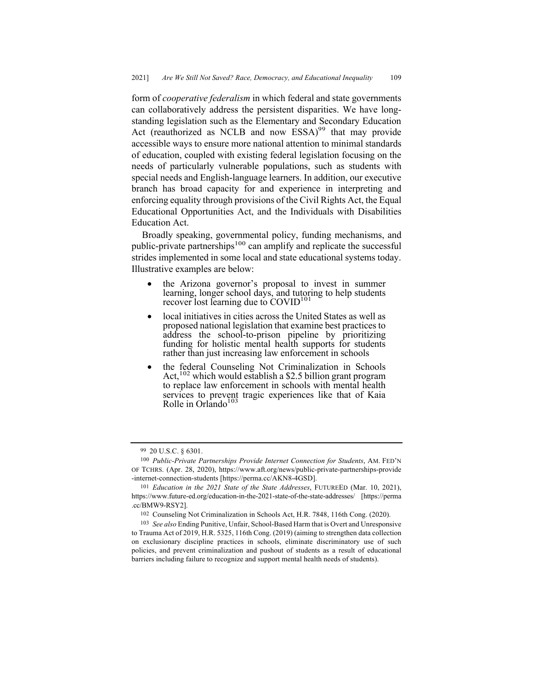form of *cooperative federalism* in which federal and state governments can collaboratively address the persistent disparities. We have longstanding legislation such as the Elementary and Secondary Education Act (reauthorized as NCLB and now  $ESSA)^{99}$  that may provide accessible ways to ensure more national attention to minimal standards of education, coupled with existing federal legislation focusing on the needs of particularly vulnerable populations, such as students with special needs and English-language learners. In addition, our executive branch has broad capacity for and experience in interpreting and enforcing equality through provisions of the Civil Rights Act, the Equal Educational Opportunities Act, and the Individuals with Disabilities Education Act.

Broadly speaking, governmental policy, funding mechanisms, and public-private partnerships<sup>100</sup> can amplify and replicate the successful strides implemented in some local and state educational systems today. Illustrative examples are below:

- the Arizona governor's proposal to invest in summer learning, longer school days, and tutoring to help students recover lost learning due to COVID<sup>101</sup>
- local initiatives in cities across the United States as well as proposed national legislation that examine best practices to address the school-to-prison pipeline by prioritizing funding for holistic mental health supports for students rather than just increasing law enforcement in schools
- the federal Counseling Not Criminalization in Schools Act,<sup>102</sup> which would establish a \$2.5 billion grant program to replace law enforcement in schools with mental health services to prevent tragic experiences like that of Kaia  $Rolle$  in Orlando<sup>103</sup>

<sup>99</sup> 20 U.S.C. § 6301.

<sup>100</sup> *Public-Private Partnerships Provide Internet Connection for Students*, AM. FED'N OF TCHRS. (Apr. 28, 2020), https://www.aft.org/news/public-private-partnerships-provide -internet-connection-students [https://perma.cc/AKN8-4GSD].

<sup>101</sup> *Education in the 2021 State of the State Addresses*, FUTUREED (Mar. 10, 2021), https://www.future-ed.org/education-in-the-2021-state-of-the-state-addresses/ [https://perma .cc/BMW9-RSY2].

<sup>102</sup> Counseling Not Criminalization in Schools Act, H.R. 7848, 116th Cong. (2020).

<sup>103</sup> *See also* Ending Punitive, Unfair, School-Based Harm that is Overt and Unresponsive to Trauma Act of 2019, H.R. 5325, 116th Cong. (2019) (aiming to strengthen data collection on exclusionary discipline practices in schools, eliminate discriminatory use of such policies, and prevent criminalization and pushout of students as a result of educational barriers including failure to recognize and support mental health needs of students).